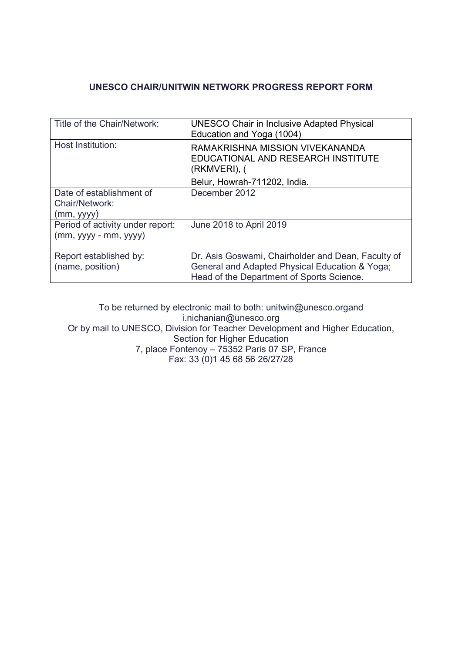# **UNESCO CHAIR/UNITWIN NETWORK PROGRESS REPORT FORM**

| Title of the Chair/Network:                                | <b>UNESCO Chair in Inclusive Adapted Physical</b><br>Education and Yoga (1004)                                                                    |
|------------------------------------------------------------|---------------------------------------------------------------------------------------------------------------------------------------------------|
| Host Institution:                                          | RAMAKRISHNA MISSION VIVEKANANDA<br>EDUCATIONAL AND RESEARCH INSTITUTE<br>(RKMVERI), (                                                             |
|                                                            | Belur, Howrah-711202, India.                                                                                                                      |
| Date of establishment of<br>Chair/Network:<br>(mm, vyy)    | December 2012                                                                                                                                     |
| Period of activity under report:<br>$(mm, yyyy - mm, yyy)$ | June 2018 to April 2019                                                                                                                           |
| Report established by:<br>(name, position)                 | Dr. Asis Goswami, Chairholder and Dean, Faculty of<br>General and Adapted Physical Education & Yoga;<br>Head of the Department of Sports Science. |

To be returned by electronic mail to both: unitwin@unesco.organd i.nichanian@unesco.org Or by mail to UNESCO, Division for Teacher Development and Higher Education, Section for Higher Education 7, place Fontenoy – 75352 Paris 07 SP, France Fax: 33 (0)1 45 68 56 26/27/28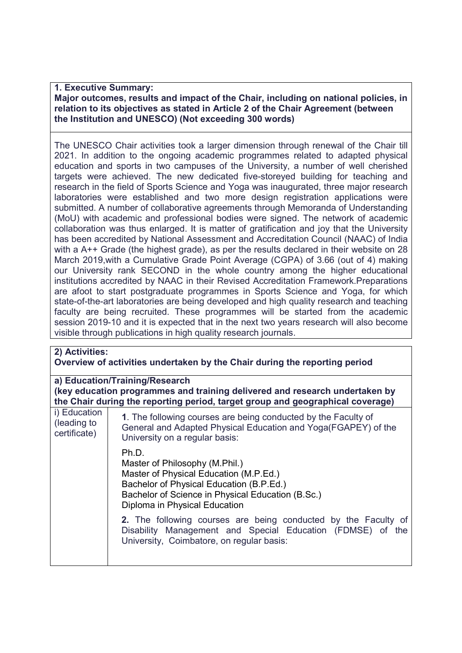### **1. Executive Summary:**

### **Major outcomes, results and impact of the Chair, including on national policies, in relation to its objectives as stated in Article 2 of the Chair Agreement (between the Institution and UNESCO) (Not exceeding 300 words)**

The UNESCO Chair activities took a larger dimension through renewal of the Chair till 2021. In addition to the ongoing academic programmes related to adapted physical education and sports in two campuses of the University, a number of well cherished targets were achieved. The new dedicated five-storeyed building for teaching and research in the field of Sports Science and Yoga was inaugurated, three major research laboratories were established and two more design registration applications were submitted. A number of collaborative agreements through Memoranda of Understanding (MoU) with academic and professional bodies were signed. The network of academic collaboration was thus enlarged. It is matter of gratification and joy that the University has been accredited by National Assessment and Accreditation Council (NAAC) of India with a A++ Grade (the highest grade), as per the results declared in their website on 28 March 2019,with a Cumulative Grade Point Average (CGPA) of 3.66 (out of 4) making our University rank SECOND in the whole country among the higher educational institutions accredited by NAAC in their Revised Accreditation Framework.Preparations are afoot to start postgraduate programmes in Sports Science and Yoga, for which state-of-the-art laboratories are being developed and high quality research and teaching faculty are being recruited. These programmes will be started from the academic session 2019-10 and it is expected that in the next two years research will also become visible through publications in high quality research journals.

| 2) Activities:<br>Overview of activities undertaken by the Chair during the reporting period                                                                                                    |                                                                                                                                                                                                                     |  |  |  |  |
|-------------------------------------------------------------------------------------------------------------------------------------------------------------------------------------------------|---------------------------------------------------------------------------------------------------------------------------------------------------------------------------------------------------------------------|--|--|--|--|
| a) Education/Training/Research<br>(key education programmes and training delivered and research undertaken by<br>the Chair during the reporting period, target group and geographical coverage) |                                                                                                                                                                                                                     |  |  |  |  |
| i) Education<br>(leading to<br>certificate)                                                                                                                                                     | 1. The following courses are being conducted by the Faculty of<br>General and Adapted Physical Education and Yoga(FGAPEY) of the<br>University on a regular basis:                                                  |  |  |  |  |
|                                                                                                                                                                                                 | Ph.D.<br>Master of Philosophy (M.Phil.)<br>Master of Physical Education (M.P.Ed.)<br>Bachelor of Physical Education (B.P.Ed.)<br>Bachelor of Science in Physical Education (B.Sc.)<br>Diploma in Physical Education |  |  |  |  |
|                                                                                                                                                                                                 | 2. The following courses are being conducted by the Faculty of<br>Disability Management and Special Education (FDMSE) of the<br>University, Coimbatore, on regular basis:                                           |  |  |  |  |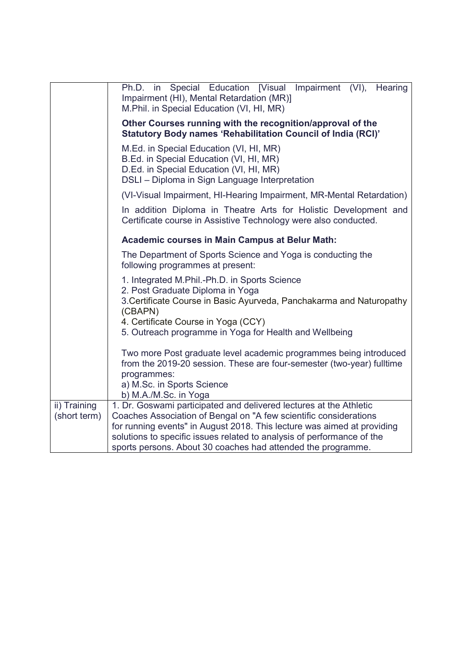|                              | Ph.D. in Special Education [Visual Impairment (VI), Hearing<br>Impairment (HI), Mental Retardation (MR)]<br>M.Phil. in Special Education (VI, HI, MR)                                                                                                                                                                                                        |  |  |  |  |  |
|------------------------------|--------------------------------------------------------------------------------------------------------------------------------------------------------------------------------------------------------------------------------------------------------------------------------------------------------------------------------------------------------------|--|--|--|--|--|
|                              | Other Courses running with the recognition/approval of the<br>Statutory Body names 'Rehabilitation Council of India (RCI)'                                                                                                                                                                                                                                   |  |  |  |  |  |
|                              | M.Ed. in Special Education (VI, HI, MR)<br>B.Ed. in Special Education (VI, HI, MR)<br>D.Ed. in Special Education (VI, HI, MR)<br>DSLI - Diploma in Sign Language Interpretation                                                                                                                                                                              |  |  |  |  |  |
|                              | (VI-Visual Impairment, HI-Hearing Impairment, MR-Mental Retardation)                                                                                                                                                                                                                                                                                         |  |  |  |  |  |
|                              | In addition Diploma in Theatre Arts for Holistic Development and<br>Certificate course in Assistive Technology were also conducted.                                                                                                                                                                                                                          |  |  |  |  |  |
|                              | <b>Academic courses in Main Campus at Belur Math:</b>                                                                                                                                                                                                                                                                                                        |  |  |  |  |  |
|                              | The Department of Sports Science and Yoga is conducting the<br>following programmes at present:                                                                                                                                                                                                                                                              |  |  |  |  |  |
|                              | 1. Integrated M.Phil.-Ph.D. in Sports Science<br>2. Post Graduate Diploma in Yoga<br>3. Certificate Course in Basic Ayurveda, Panchakarma and Naturopathy<br>(CBAPN)<br>4. Certificate Course in Yoga (CCY)                                                                                                                                                  |  |  |  |  |  |
|                              | 5. Outreach programme in Yoga for Health and Wellbeing                                                                                                                                                                                                                                                                                                       |  |  |  |  |  |
|                              | Two more Post graduate level academic programmes being introduced<br>from the 2019-20 session. These are four-semester (two-year) fulltime<br>programmes:                                                                                                                                                                                                    |  |  |  |  |  |
|                              | a) M.Sc. in Sports Science<br>b) M.A./M.Sc. in Yoga                                                                                                                                                                                                                                                                                                          |  |  |  |  |  |
| ii) Training<br>(short term) | 1. Dr. Goswami participated and delivered lectures at the Athletic<br>Coaches Association of Bengal on "A few scientific considerations<br>for running events" in August 2018. This lecture was aimed at providing<br>solutions to specific issues related to analysis of performance of the<br>sports persons. About 30 coaches had attended the programme. |  |  |  |  |  |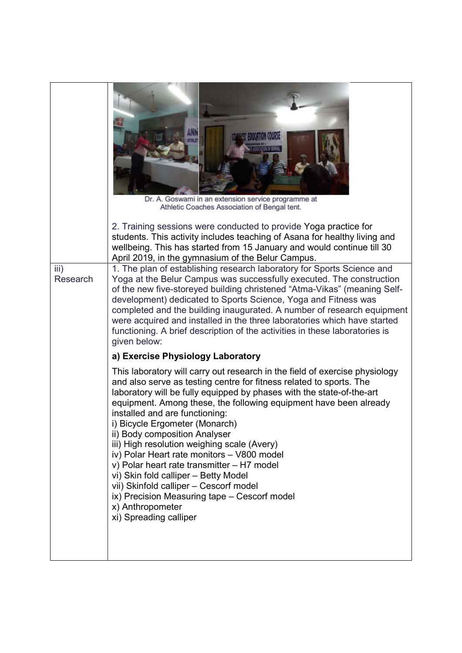|                  | Dr. A. Goswami in an extension service programme at<br>Athletic Coaches Association of Bengal tent.<br>2. Training sessions were conducted to provide Yoga practice for<br>students. This activity includes teaching of Asana for healthy living and<br>wellbeing. This has started from 15 January and would continue till 30<br>April 2019, in the gymnasium of the Belur Campus.                                                                                                                                                                                                                                                                                                                                              |  |  |  |  |
|------------------|----------------------------------------------------------------------------------------------------------------------------------------------------------------------------------------------------------------------------------------------------------------------------------------------------------------------------------------------------------------------------------------------------------------------------------------------------------------------------------------------------------------------------------------------------------------------------------------------------------------------------------------------------------------------------------------------------------------------------------|--|--|--|--|
| iii)<br>Research | 1. The plan of establishing research laboratory for Sports Science and<br>Yoga at the Belur Campus was successfully executed. The construction<br>of the new five-storeyed building christened "Atma-Vikas" (meaning Self-<br>development) dedicated to Sports Science, Yoga and Fitness was<br>completed and the building inaugurated. A number of research equipment<br>were acquired and installed in the three laboratories which have started<br>functioning. A brief description of the activities in these laboratories is<br>given below:                                                                                                                                                                                |  |  |  |  |
|                  | a) Exercise Physiology Laboratory                                                                                                                                                                                                                                                                                                                                                                                                                                                                                                                                                                                                                                                                                                |  |  |  |  |
|                  | This laboratory will carry out research in the field of exercise physiology<br>and also serve as testing centre for fitness related to sports. The<br>laboratory will be fully equipped by phases with the state-of-the-art<br>equipment. Among these, the following equipment have been already<br>installed and are functioning:<br>i) Bicycle Ergometer (Monarch)<br>ii) Body composition Analyser<br>iii) High resolution weighing scale (Avery)<br>iv) Polar Heart rate monitors - V800 model<br>v) Polar heart rate transmitter - H7 model<br>vi) Skin fold calliper - Betty Model<br>vii) Skinfold calliper - Cescorf model<br>ix) Precision Measuring tape - Cescorf model<br>x) Anthropometer<br>xi) Spreading calliper |  |  |  |  |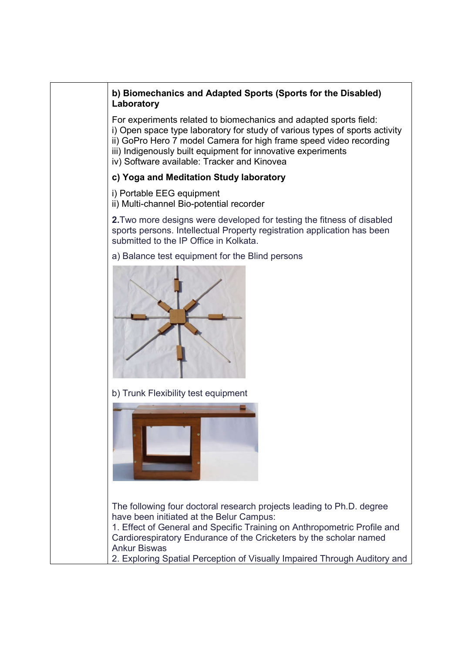# **b) Biomechanics and Adapted Sports (Sports for the Disabled) Laboratory**

For experiments related to biomechanics and adapted sports field: i) Open space type laboratory for study of various types of sports activity ii) GoPro Hero 7 model Camera for high frame speed video recording iii) Indigenously built equipment for innovative experiments iv) Software available: Tracker and Kinovea

## **c) Yoga and Meditation Study laboratory**

i) Portable EEG equipment

ii) Multi-channel Bio-potential recorder

**2.**Two more designs were developed for testing the fitness of disabled sports persons. Intellectual Property registration application has been submitted to the IP Office in Kolkata.

a) Balance test equipment for the Blind persons



b) Trunk Flexibility test equipment



The following four doctoral research projects leading to Ph.D. degree have been initiated at the Belur Campus:

1. Effect of General and Specific Training on Anthropometric Profile and Cardiorespiratory Endurance of the Cricketers by the scholar named Ankur Biswas

2. Exploring Spatial Perception of Visually Impaired Through Auditory and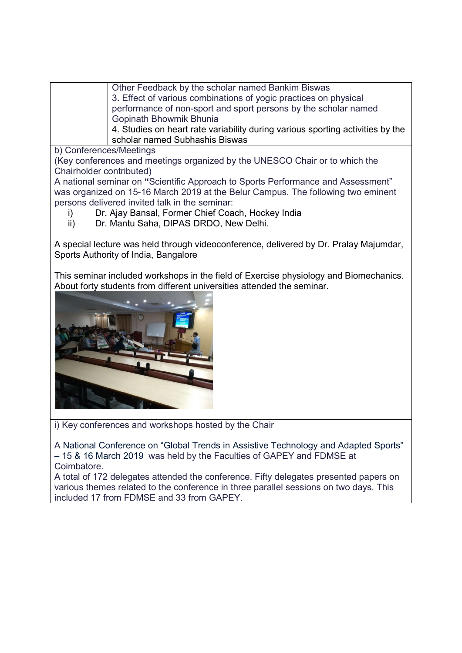Other Feedback by the scholar named Bankim Biswas 3. Effect of various combinations of yogic practices on physical performance of non-sport and sport persons by the scholar named Gopinath Bhowmik Bhunia

4. Studies on heart rate variability during various sporting activities by the scholar named Subhashis Biswas

b) Conferences/Meetings

(Key conferences and meetings organized by the UNESCO Chair or to which the Chairholder contributed)

A national seminar on **"**Scientific Approach to Sports Performance and Assessment" was organized on 15-16 March 2019 at the Belur Campus. The following two eminent persons delivered invited talk in the seminar:

- i) Dr. Ajay Bansal, Former Chief Coach, Hockey India
- ii) Dr. Mantu Saha, DIPAS DRDO, New Delhi.

A special lecture was held through videoconference, delivered by Dr. Pralay Majumdar, Sports Authority of India, Bangalore

This seminar included workshops in the field of Exercise physiology and Biomechanics. About forty students from different universities attended the seminar.



i) Key conferences and workshops hosted by the Chair

A National Conference on "Global Trends in Assistive Technology and Adapted Sports" – 15 & 16 March 2019 was held by the Faculties of GAPEY and FDMSE at Coimbatore.

A total of 172 delegates attended the conference. Fifty delegates presented papers on various themes related to the conference in three parallel sessions on two days. This included 17 from FDMSE and 33 from GAPEY.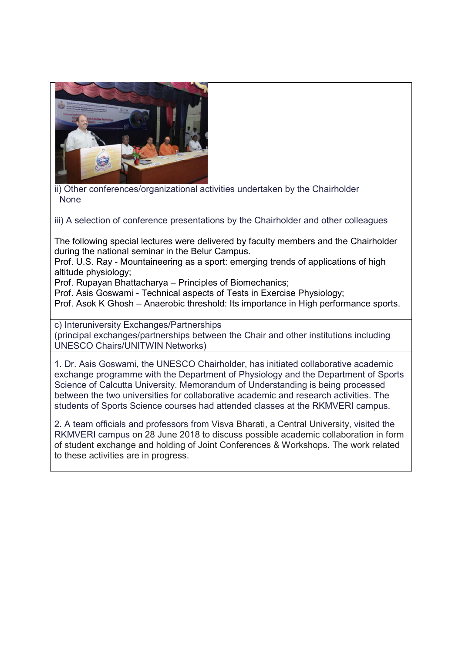

ii) Other conferences/organizational activities undertaken by the Chairholder None

iii) A selection of conference presentations by the Chairholder and other colleagues

The following special lectures were delivered by faculty members and the Chairholder during the national seminar in the Belur Campus.

Prof. U.S. Ray - Mountaineering as a sport: emerging trends of applications of high altitude physiology;

Prof. Rupayan Bhattacharya – Principles of Biomechanics;

Prof. Asis Goswami - Technical aspects of Tests in Exercise Physiology;

Prof. Asok K Ghosh – Anaerobic threshold: Its importance in High performance sports.

c) Interuniversity Exchanges/Partnerships (principal exchanges/partnerships between the Chair and other institutions including UNESCO Chairs/UNITWIN Networks)

1. Dr. Asis Goswami, the UNESCO Chairholder, has initiated collaborative academic exchange programme with the Department of Physiology and the Department of Sports Science of Calcutta University. Memorandum of Understanding is being processed between the two universities for collaborative academic and research activities. The students of Sports Science courses had attended classes at the RKMVERI campus.

2. A team officials and professors from Visva Bharati, a Central University, visited the RKMVERI campus on 28 June 2018 to discuss possible academic collaboration in form of student exchange and holding of Joint Conferences & Workshops. The work related to these activities are in progress.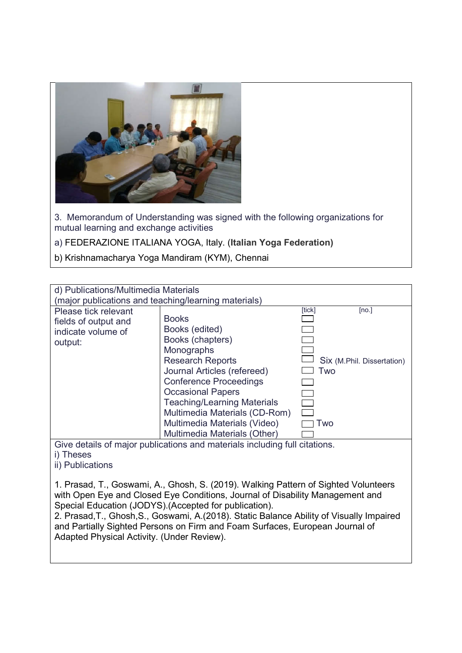

3. Memorandum of Understanding was signed with the following organizations for mutual learning and exchange activities

a) FEDERAZIONE ITALIANA YOGA, Italy. (**Italian Yoga Federation)**

b) Krishnamacharya Yoga Mandiram (KYM), Chennai

| d) Publications/Multimedia Materials                                                                                                                                                                                           |                                                                                                                                                                                                                                                                                                                                |        |                                                   |  |
|--------------------------------------------------------------------------------------------------------------------------------------------------------------------------------------------------------------------------------|--------------------------------------------------------------------------------------------------------------------------------------------------------------------------------------------------------------------------------------------------------------------------------------------------------------------------------|--------|---------------------------------------------------|--|
| (major publications and teaching/learning materials)                                                                                                                                                                           |                                                                                                                                                                                                                                                                                                                                |        |                                                   |  |
| Please tick relevant<br>fields of output and<br>indicate volume of<br>output:                                                                                                                                                  | <b>Books</b><br>Books (edited)<br>Books (chapters)<br>Monographs<br><b>Research Reports</b><br>Journal Articles (refereed)<br><b>Conference Proceedings</b><br><b>Occasional Papers</b><br><b>Teaching/Learning Materials</b><br>Multimedia Materials (CD-Rom)<br>Multimedia Materials (Video)<br>Multimedia Materials (Other) | [tick] | [no.]<br>Six (M.Phil. Dissertation)<br>Two<br>Two |  |
| Give details of major publications and materials including full citations.<br>i) Theses<br>ii) Publications                                                                                                                    |                                                                                                                                                                                                                                                                                                                                |        |                                                   |  |
| 1. Prasad, T., Goswami, A., Ghosh, S. (2019). Walking Pattern of Sighted Volunteers<br>with Open Eye and Closed Eye Conditions, Journal of Disability Management and<br>Special Education (JODYS). (Accepted for publication). |                                                                                                                                                                                                                                                                                                                                |        |                                                   |  |

2. Prasad,T., Ghosh,S., Goswami, A.(2018). Static Balance Ability of Visually Impaired and Partially Sighted Persons on Firm and Foam Surfaces, European Journal of Adapted Physical Activity. (Under Review).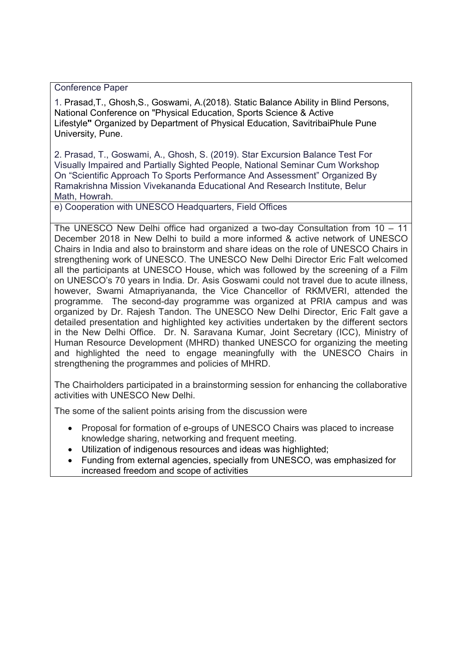Conference Paper

1. Prasad,T., Ghosh,S., Goswami, A.(2018). Static Balance Ability in Blind Persons, National Conference on "Physical Education, Sports Science & Active Lifestyle**"** Organized by Department of Physical Education, SavitribaiPhule Pune University, Pune.

2. Prasad, T., Goswami, A., Ghosh, S. (2019). Star Excursion Balance Test For Visually Impaired and Partially Sighted People, National Seminar Cum Workshop On "Scientific Approach To Sports Performance And Assessment" Organized By Ramakrishna Mission Vivekananda Educational And Research Institute, Belur Math, Howrah.

e) Cooperation with UNESCO Headquarters, Field Offices

The UNESCO New Delhi office had organized a two-day Consultation from 10 – 11 December 2018 in New Delhi to build a more informed & active network of UNESCO Chairs in India and also to brainstorm and share ideas on the role of UNESCO Chairs in strengthening work of UNESCO. The UNESCO New Delhi Director Eric Falt welcomed all the participants at UNESCO House, which was followed by the screening of a Film on UNESCO's 70 years in India. Dr. Asis Goswami could not travel due to acute illness, however, Swami Atmapriyananda, the Vice Chancellor of RKMVERI, attended the programme. The second-day programme was organized at PRIA campus and was organized by Dr. Rajesh Tandon. The UNESCO New Delhi Director, Eric Falt gave a detailed presentation and highlighted key activities undertaken by the different sectors in the New Delhi Office. Dr. N. Saravana Kumar, Joint Secretary (ICC), Ministry of Human Resource Development (MHRD) thanked UNESCO for organizing the meeting and highlighted the need to engage meaningfully with the UNESCO Chairs in strengthening the programmes and policies of MHRD.

The Chairholders participated in a brainstorming session for enhancing the collaborative activities with UNESCO New Delhi.

The some of the salient points arising from the discussion were

- Proposal for formation of e-groups of UNESCO Chairs was placed to increase knowledge sharing, networking and frequent meeting.
- Utilization of indigenous resources and ideas was highlighted;
- Funding from external agencies, specially from UNESCO, was emphasized for increased freedom and scope of activities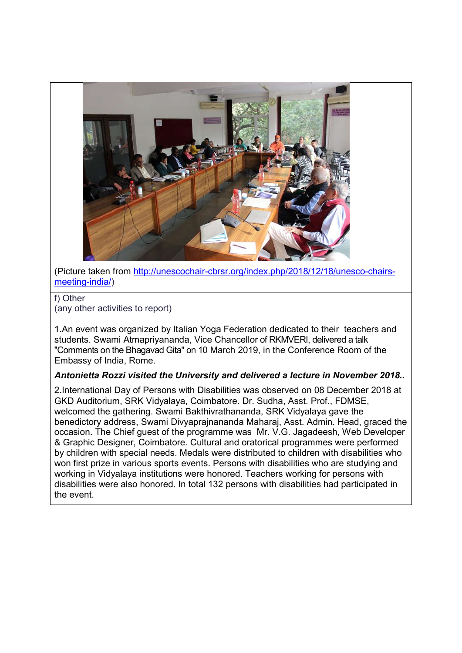

(Picture taken from http://unescochair-cbrsr.org/index.php/2018/12/18/unesco-chairsmeeting-india/)

#### f) Other (any other activities to report)

1**.**An event was organized by Italian Yoga Federation dedicated to their teachers and students. Swami Atmapriyananda, Vice Chancellor of RKMVERI, delivered a talk "Comments on the Bhagavad Gita" on 10 March 2019, in the Conference Room of the Embassy of India, Rome.

## *Antonietta Rozzi visited the University and delivered a lecture in November 2018..*

2**.**International Day of Persons with Disabilities was observed on 08 December 2018 at GKD Auditorium, SRK Vidyalaya, Coimbatore. Dr. Sudha, Asst. Prof., FDMSE, welcomed the gathering. Swami Bakthivrathananda, SRK Vidyalaya gave the benedictory address, Swami Divyaprajnananda Maharaj, Asst. Admin. Head, graced the occasion. The Chief guest of the programme was Mr. V.G. Jagadeesh, Web Developer & Graphic Designer, Coimbatore. Cultural and oratorical programmes were performed by children with special needs. Medals were distributed to children with disabilities who won first prize in various sports events. Persons with disabilities who are studying and working in Vidyalaya institutions were honored. Teachers working for persons with disabilities were also honored. In total 132 persons with disabilities had participated in the event.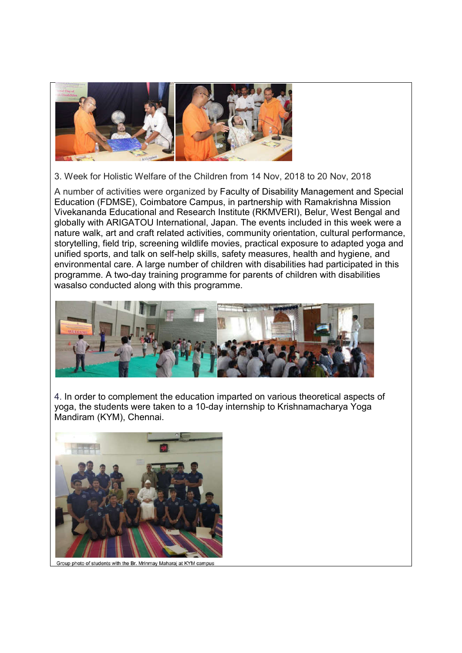

3. Week for Holistic Welfare of the Children from 14 Nov, 2018 to 20 Nov, 2018

A number of activities were organized by Faculty of Disability Management and Special Education (FDMSE), Coimbatore Campus, in partnership with Ramakrishna Mission Vivekananda Educational and Research Institute (RKMVERI), Belur, West Bengal and globally with ARIGATOU International, Japan. The events included in this week were a nature walk, art and craft related activities, community orientation, cultural performance, storytelling, field trip, screening wildlife movies, practical exposure to adapted yoga and unified sports, and talk on self-help skills, safety measures, health and hygiene, and environmental care. A large number of children with disabilities had participated in this programme. A two-day training programme for parents of children with disabilities wasalso conducted along with this programme.



4. In order to complement the education imparted on various theoretical aspects of yoga, the students were taken to a 10-day internship to Krishnamacharya Yoga Mandiram (KYM), Chennai.



Group photo of students with the Br. Mrinmay Maharaj at KYM campus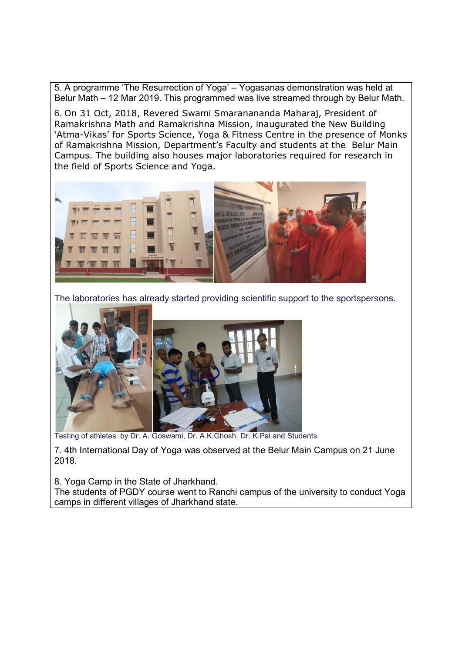5. A programme 'The Resurrection of Yoga' – Yogasanas demonstration was held at Belur Math – 12 Mar 2019. This programmed was live streamed through by Belur Math.

6. On 31 Oct, 2018, Revered Swami Smaranananda Maharaj, President of Ramakrishna Math and Ramakrishna Mission, inaugurated the New Building 'Atma-Vikas' for Sports Science, Yoga & Fitness Centre in the presence of Monks of Ramakrishna Mission, Department's Faculty and students at the Belur Main Campus. The building also houses major laboratories required for research in the field of Sports Science and Yoga.



The laboratories has already started providing scientific support to the sportspersons.



Testing of athletes by Dr. A. Goswami, Dr. A.K.Ghosh, Dr. K.Pal and Students

7. 4th International Day of Yoga was observed at the Belur Main Campus on 21 June 2018.

8. Yoga Camp in the State of Jharkhand.

The students of PGDY course went to Ranchi campus of the university to conduct Yoga camps in different villages of Jharkhand state.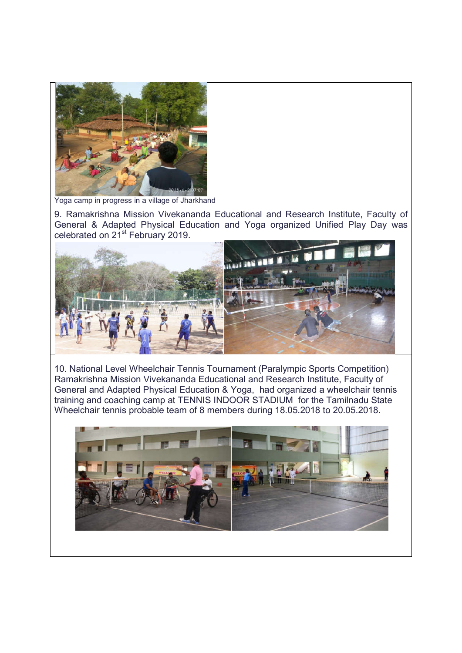

Yoga camp in progress in a village of Jharkhand

9. Ramakrishna Mission Vivekananda Educational and Research Institute, Faculty of General & Adapted Physical Education and Yoga organized Unified Play Day was celebrated on 21<sup>st</sup> February 2019.



10. National Level Wheelchair Tennis Tournament (Paralympic Sports Competition) Ramakrishna Mission Vivekananda Educational and Research Institute, Faculty of General and Adapted Physical Education & Yoga, had organized a wheelchair tennis training and coaching camp at TENNIS INDOOR STADIUM for the Tamilnadu State Wheelchair tennis probable team of 8 members during 18.05.2018 to 20.05.2018.

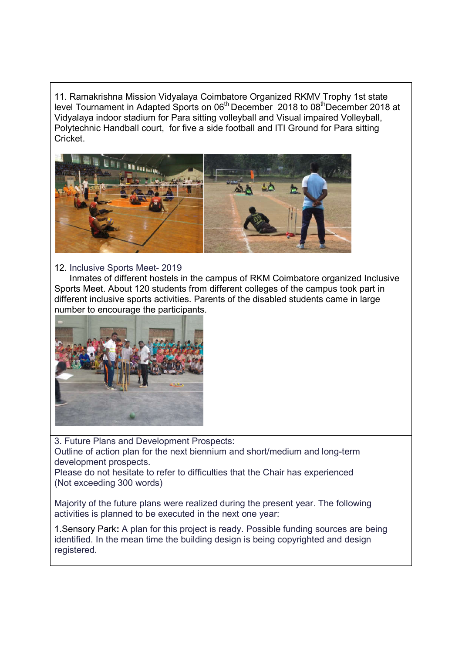11. Ramakrishna Mission Vidyalaya Coimbatore Organized RKMV Trophy 1st state level Tournament in Adapted Sports on 06<sup>th</sup> December 2018 to 08<sup>th</sup> December 2018 at Vidyalaya indoor stadium for Para sitting volleyball and Visual impaired Volleyball, Polytechnic Handball court, for five a side football and ITI Ground for Para sitting Cricket.



### 12. Inclusive Sports Meet- 2019

 Inmates of different hostels in the campus of RKM Coimbatore organized Inclusive Sports Meet. About 120 students from different colleges of the campus took part in different inclusive sports activities. Parents of the disabled students came in large number to encourage the participants.



3. Future Plans and Development Prospects: Outline of action plan for the next biennium and short/medium and long-term development prospects.

Please do not hesitate to refer to difficulties that the Chair has experienced (Not exceeding 300 words)

Majority of the future plans were realized during the present year. The following activities is planned to be executed in the next one year:

1.Sensory Park**:** A plan for this project is ready. Possible funding sources are being identified. In the mean time the building design is being copyrighted and design registered.